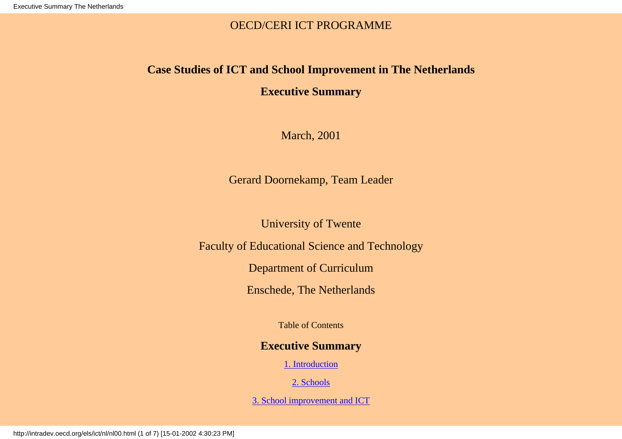## OECD/CERI ICT PROGRAMME

## **Case Studies of ICT and School Improvement in The Netherlands**

# **Executive Summary**

March, 2001

Gerard Doornekamp, Team Leader

University of Twente

<span id="page-0-0"></span>Faculty of Educational Science and Technology

Department of Curriculum

Enschede, The Netherlands

Table of Contents

## **Executive Summary**

[1. Introduction](#page-1-0)

[2. Schools](#page-1-1)

[3. School improvement and ICT](#page-3-0)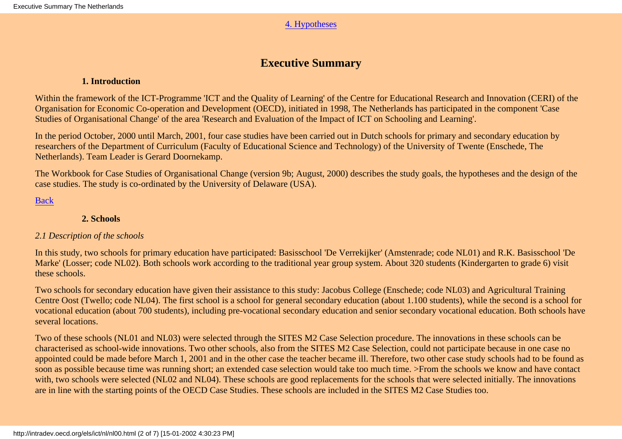### [4. Hypotheses](#page-4-0)

## **Executive Summary**

### **1. Introduction**

<span id="page-1-0"></span>Within the framework of the ICT-Programme 'ICT and the Quality of Learning' of the Centre for Educational Research and Innovation (CERI) of the Organisation for Economic Co-operation and Development (OECD), initiated in 1998, The Netherlands has participated in the component 'Case Studies of Organisational Change' of the area 'Research and Evaluation of the Impact of ICT on Schooling and Learning'.

In the period October, 2000 until March, 2001, four case studies have been carried out in Dutch schools for primary and secondary education by researchers of the Department of Curriculum (Faculty of Educational Science and Technology) of the University of Twente (Enschede, The Netherlands). Team Leader is Gerard Doornekamp.

The Workbook for Case Studies of Organisational Change (version 9b; August, 2000) describes the study goals, the hypotheses and the design of the case studies. The study is co-ordinated by the University of Delaware (USA).

[Back](#page-0-0)

## **2. Schools**

## <span id="page-1-1"></span>*2.1 Description of the schools*

In this study, two schools for primary education have participated: Basisschool 'De Verrekijker' (Amstenrade; code NL01) and R.K. Basisschool 'De Marke' (Losser; code NL02). Both schools work according to the traditional year group system. About 320 students (Kindergarten to grade 6) visit these schools.

Two schools for secondary education have given their assistance to this study: Jacobus College (Enschede; code NL03) and Agricultural Training Centre Oost (Twello; code NL04). The first school is a school for general secondary education (about 1.100 students), while the second is a school for vocational education (about 700 students), including pre-vocational secondary education and senior secondary vocational education. Both schools have several locations.

Two of these schools (NL01 and NL03) were selected through the SITES M2 Case Selection procedure. The innovations in these schools can be characterised as school-wide innovations. Two other schools, also from the SITES M2 Case Selection, could not participate because in one case no appointed could be made before March 1, 2001 and in the other case the teacher became ill. Therefore, two other case study schools had to be found as soon as possible because time was running short; an extended case selection would take too much time. >From the schools we know and have contact with, two schools were selected (NL02 and NL04). These schools are good replacements for the schools that were selected initially. The innovations are in line with the starting points of the OECD Case Studies. These schools are included in the SITES M2 Case Studies too.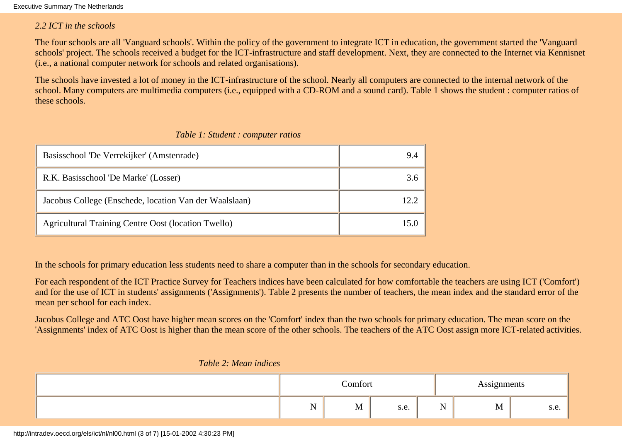Executive Summary The Netherlands

#### *2.2 ICT in the schools*

The four schools are all 'Vanguard schools'. Within the policy of the government to integrate ICT in education, the government started the 'Vanguard schools' project. The schools received a budget for the ICT-infrastructure and staff development. Next, they are connected to the Internet via Kennisnet (i.e., a national computer network for schools and related organisations).

The schools have invested a lot of money in the ICT-infrastructure of the school. Nearly all computers are connected to the internal network of the school. Many computers are multimedia computers (i.e., equipped with a CD-ROM and a sound card). Table 1 shows the student : computer ratios of these schools.

| Basisschool 'De Verrekijker' (Amstenrade)              | 9.4 |
|--------------------------------------------------------|-----|
| R.K. Basisschool 'De Marke' (Losser)                   | 3.6 |
| Jacobus College (Enschede, location Van der Waalslaan) |     |
| Agricultural Training Centre Oost (location Twello)    |     |

#### *Table 1: Student : computer ratios*

In the schools for primary education less students need to share a computer than in the schools for secondary education.

For each respondent of the ICT Practice Survey for Teachers indices have been calculated for how comfortable the teachers are using ICT ('Comfort') and for the use of ICT in students' assignments ('Assignments'). Table 2 presents the number of teachers, the mean index and the standard error of the mean per school for each index.

Jacobus College and ATC Oost have higher mean scores on the 'Comfort' index than the two schools for primary education. The mean score on the 'Assignments' index of ATC Oost is higher than the mean score of the other schools. The teachers of the ATC Oost assign more ICT-related activities.

| Comfort |   |      |          | Assignments |     |  |
|---------|---|------|----------|-------------|-----|--|
| $ -$    | M | s.e. | N<br>T 4 | M           | 5.0 |  |

#### *Table 2: Mean indices*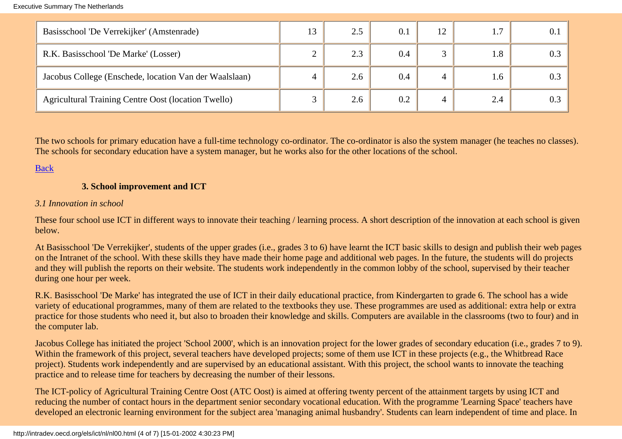| Basisschool 'De Verrekijker' (Amstenrade)                  | 2.5         | 0.1 | 12 |     |  |
|------------------------------------------------------------|-------------|-----|----|-----|--|
| R.K. Basisschool 'De Marke' (Losser)                       | 2.3         | 0.4 |    | 1.8 |  |
| Jacobus College (Enschede, location Van der Waalslaan)     | 2.6         | 0.4 |    | 1.6 |  |
| <b>Agricultural Training Centre Oost (location Twello)</b> | $\angle$ .0 | 0.2 |    | 2.4 |  |

The two schools for primary education have a full-time technology co-ordinator. The co-ordinator is also the system manager (he teaches no classes). The schools for secondary education have a system manager, but he works also for the other locations of the school.

## <span id="page-3-0"></span>[Back](#page-0-0)

## **3. School improvement and ICT**

#### *3.1 Innovation in school*

These four school use ICT in different ways to innovate their teaching / learning process. A short description of the innovation at each school is given below.

At Basisschool 'De Verrekijker', students of the upper grades (i.e., grades 3 to 6) have learnt the ICT basic skills to design and publish their web pages on the Intranet of the school. With these skills they have made their home page and additional web pages. In the future, the students will do projects and they will publish the reports on their website. The students work independently in the common lobby of the school, supervised by their teacher during one hour per week.

R.K. Basisschool 'De Marke' has integrated the use of ICT in their daily educational practice, from Kindergarten to grade 6. The school has a wide variety of educational programmes, many of them are related to the textbooks they use. These programmes are used as additional: extra help or extra practice for those students who need it, but also to broaden their knowledge and skills. Computers are available in the classrooms (two to four) and in the computer lab.

Jacobus College has initiated the project 'School 2000', which is an innovation project for the lower grades of secondary education (i.e., grades 7 to 9). Within the framework of this project, several teachers have developed projects; some of them use ICT in these projects (e.g., the Whitbread Race project). Students work independently and are supervised by an educational assistant. With this project, the school wants to innovate the teaching practice and to release time for teachers by decreasing the number of their lessons.

The ICT-policy of Agricultural Training Centre Oost (ATC Oost) is aimed at offering twenty percent of the attainment targets by using ICT and reducing the number of contact hours in the department senior secondary vocational education. With the programme 'Learning Space' teachers have developed an electronic learning environment for the subject area 'managing animal husbandry'. Students can learn independent of time and place. In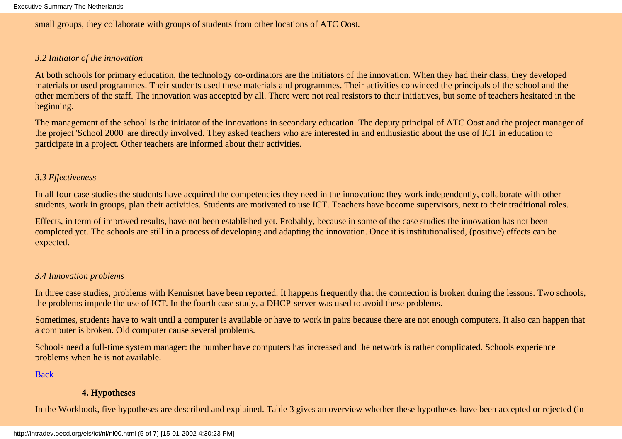small groups, they collaborate with groups of students from other locations of ATC Oost.

### *3.2 Initiator of the innovation*

At both schools for primary education, the technology co-ordinators are the initiators of the innovation. When they had their class, they developed materials or used programmes. Their students used these materials and programmes. Their activities convinced the principals of the school and the other members of the staff. The innovation was accepted by all. There were not real resistors to their initiatives, but some of teachers hesitated in the beginning.

The management of the school is the initiator of the innovations in secondary education. The deputy principal of ATC Oost and the project manager of the project 'School 2000' are directly involved. They asked teachers who are interested in and enthusiastic about the use of ICT in education to participate in a project. Other teachers are informed about their activities.

## *3.3 Effectiveness*

In all four case studies the students have acquired the competencies they need in the innovation: they work independently, collaborate with other students, work in groups, plan their activities. Students are motivated to use ICT. Teachers have become supervisors, next to their traditional roles.

Effects, in term of improved results, have not been established yet. Probably, because in some of the case studies the innovation has not been completed yet. The schools are still in a process of developing and adapting the innovation. Once it is institutionalised, (positive) effects can be expected.

## *3.4 Innovation problems*

In three case studies, problems with Kennisnet have been reported. It happens frequently that the connection is broken during the lessons. Two schools, the problems impede the use of ICT. In the fourth case study, a DHCP-server was used to avoid these problems.

Sometimes, students have to wait until a computer is available or have to work in pairs because there are not enough computers. It also can happen that a computer is broken. Old computer cause several problems.

Schools need a full-time system manager: the number have computers has increased and the network is rather complicated. Schools experience problems when he is not available.

[Back](#page-0-0)

## **4. Hypotheses**

<span id="page-4-0"></span>In the Workbook, five hypotheses are described and explained. Table 3 gives an overview whether these hypotheses have been accepted or rejected (in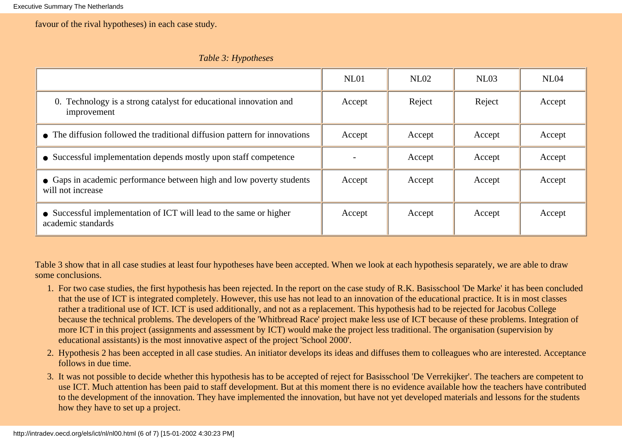favour of the rival hypotheses) in each case study.

|  | Table 3: Hypotheses |
|--|---------------------|
|--|---------------------|

|                                                                                           | NL01   | NL02   | NL03   | NL04   |
|-------------------------------------------------------------------------------------------|--------|--------|--------|--------|
| 0. Technology is a strong catalyst for educational innovation and<br>improvement          | Accept | Reject | Reject | Accept |
| • The diffusion followed the traditional diffusion pattern for innovations                | Accept | Accept | Accept | Accept |
| • Successful implementation depends mostly upon staff competence                          |        | Accept | Accept | Accept |
| • Gaps in academic performance between high and low poverty students<br>will not increase | Accept | Accept | Accept | Accept |
| • Successful implementation of ICT will lead to the same or higher<br>academic standards  | Accept | Accept | Accept | Accept |

Table 3 show that in all case studies at least four hypotheses have been accepted. When we look at each hypothesis separately, we are able to draw some conclusions.

- 1. For two case studies, the first hypothesis has been rejected. In the report on the case study of R.K. Basisschool 'De Marke' it has been concluded that the use of ICT is integrated completely. However, this use has not lead to an innovation of the educational practice. It is in most classes rather a traditional use of ICT. ICT is used additionally, and not as a replacement. This hypothesis had to be rejected for Jacobus College because the technical problems. The developers of the 'Whitbread Race' project make less use of ICT because of these problems. Integration of more ICT in this project (assignments and assessment by ICT) would make the project less traditional. The organisation (supervision by educational assistants) is the most innovative aspect of the project 'School 2000'.
- 2. Hypothesis 2 has been accepted in all case studies. An initiator develops its ideas and diffuses them to colleagues who are interested. Acceptance follows in due time.
- It was not possible to decide whether this hypothesis has to be accepted of reject for Basisschool 'De Verrekijker'. The teachers are competent to 3. use ICT. Much attention has been paid to staff development. But at this moment there is no evidence available how the teachers have contributed to the development of the innovation. They have implemented the innovation, but have not yet developed materials and lessons for the students how they have to set up a project.